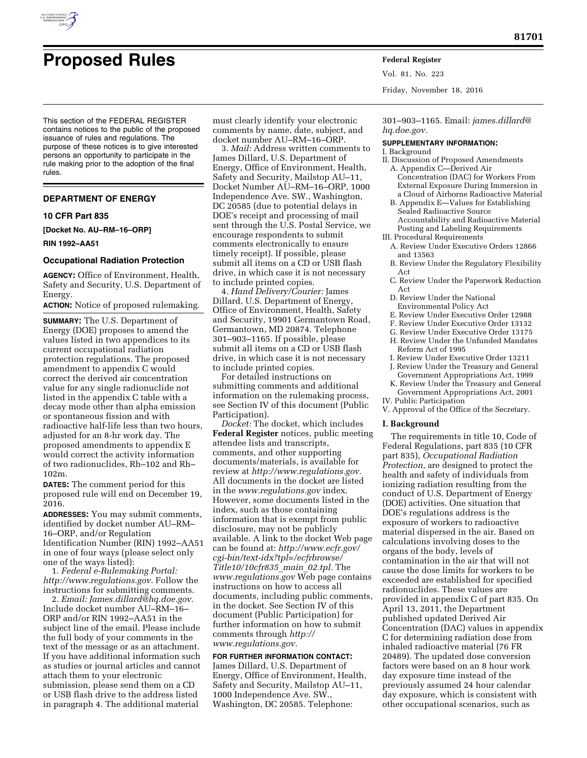

# **Proposed Rules Federal Register**

This section of the FEDERAL REGISTER contains notices to the public of the proposed issuance of rules and regulations. The purpose of these notices is to give interested persons an opportunity to participate in the rule making prior to the adoption of the final rules.

#### **DEPARTMENT OF ENERGY**

#### **10 CFR Part 835**

**[Docket No. AU–RM–16–ORP]** 

**RIN 1992–AA51** 

#### **Occupational Radiation Protection**

**AGENCY:** Office of Environment, Health, Safety and Security, U.S. Department of Energy.

**ACTION:** Notice of proposed rulemaking.

**SUMMARY:** The U.S. Department of Energy (DOE) proposes to amend the values listed in two appendices to its current occupational radiation protection regulations. The proposed amendment to appendix C would correct the derived air concentration value for any single radionuclide not listed in the appendix C table with a decay mode other than alpha emission or spontaneous fission and with radioactive half-life less than two hours, adjusted for an 8-hr work day. The proposed amendments to appendix E would correct the activity information of two radionuclides, Rh–102 and Rh– 102m.

**DATES:** The comment period for this proposed rule will end on December 19, 2016.

**ADDRESSES:** You may submit comments, identified by docket number AU–RM– 16–ORP, and/or Regulation Identification Number (RIN) 1992–AA51 in one of four ways (please select only one of the ways listed):

1. *Federal e-Rulemaking Portal: [http://www.regulations.gov.](http://www.regulations.gov)* Follow the instructions for submitting comments.

2. *Email: [James.dillard@hq.doe.gov.](mailto:James.dillard@hq.doe.gov)*  Include docket number AU–RM–16– ORP and/or RIN 1992–AA51 in the subject line of the email. Please include the full body of your comments in the text of the message or as an attachment. If you have additional information such as studies or journal articles and cannot attach them to your electronic submission, please send them on a CD or USB flash drive to the address listed in paragraph 4. The additional material

must clearly identify your electronic comments by name, date, subject, and docket number AU–RM–16–ORP.

3. *Mail:* Address written comments to James Dillard, U.S. Department of Energy, Office of Environment, Health, Safety and Security, Mailstop AU–11, Docket Number AU–RM–16–ORP, 1000 Independence Ave. SW., Washington, DC 20585 (due to potential delays in DOE's receipt and processing of mail sent through the U.S. Postal Service, we encourage respondents to submit comments electronically to ensure timely receipt). If possible, please submit all items on a CD or USB flash drive, in which case it is not necessary to include printed copies.

4. *Hand Delivery/Courier:* James Dillard, U.S. Department of Energy, Office of Environment, Health, Safety and Security, 19901 Germantown Road, Germantown, MD 20874. Telephone 301–903–1165. If possible, please submit all items on a CD or USB flash drive, in which case it is not necessary to include printed copies.

For detailed instructions on submitting comments and additional information on the rulemaking process, see Section IV of this document (Public Participation).

*Docket:* The docket, which includes **Federal Register** notices, public meeting attendee lists and transcripts, comments, and other supporting documents/materials, is available for review at *[http://www.regulations.gov.](http://www.regulations.gov)*  All documents in the docket are listed in the *[www.regulations.gov](http://www.regulations.gov)* index. However, some documents listed in the index, such as those containing information that is exempt from public disclosure, may not be publicly available. A link to the docket Web page can be found at: *[http://www.ecfr.gov/](http://www.ecfr.gov/cgi-bin/text-idx?tpl=/ecfrbrowse/Title10/10cfr835_main_02.tpl)  [cgi-bin/text-idx?tpl=/ecfrbrowse/](http://www.ecfr.gov/cgi-bin/text-idx?tpl=/ecfrbrowse/Title10/10cfr835_main_02.tpl)  [Title10/10cfr835](http://www.ecfr.gov/cgi-bin/text-idx?tpl=/ecfrbrowse/Title10/10cfr835_main_02.tpl)*\_*main*\_*02.tpl.* The *[www.regulations.gov](http://www.regulations.gov)* Web page contains instructions on how to access all documents, including public comments, in the docket. See Section IV of this document (Public Participation) for further information on how to submit comments through *[http://](http://www.regulations.gov) [www.regulations.gov.](http://www.regulations.gov)* 

**FOR FURTHER INFORMATION CONTACT:**  James Dillard, U.S. Department of Energy, Office of Environment, Health, Safety and Security, Mailstop AU–11, 1000 Independence Ave. SW., Washington, DC 20585. Telephone:

Vol. 81, No. 223 Friday, November 18, 2016

301–903–1165. Email: *[james.dillard@](mailto:james.dillard@hq.doe.gov) [hq.doe.gov.](mailto:james.dillard@hq.doe.gov)* 

## **SUPPLEMENTARY INFORMATION:**

I. Background

- II. Discussion of Proposed Amendments A. Appendix C—Derived Air Concentration (DAC) for Workers From External Exposure During Immersion in a Cloud of Airborne Radioactive Material
	- B. Appendix E—Values for Establishing Sealed Radioactive Source Accountability and Radioactive Material Posting and Labeling Requirements
- III. Procedural Requirements
- A. Review Under Executive Orders 12866 and 13563
	- B. Review Under the Regulatory Flexibility Act
	- C. Review Under the Paperwork Reduction Act
	- D. Review Under the National Environmental Policy Act
	- E. Review Under Executive Order 12988
	- F. Review Under Executive Order 13132
	- G. Review Under Executive Order 13175
	- H. Review Under the Unfunded Mandates Reform Act of 1995
- I. Review Under Executive Order 13211 J. Review Under the Treasury and General
- Government Appropriations Act, 1999 K. Review Under the Treasury and General
- Government Appropriations Act, 2001 IV. Public Participation
- V. Approval of the Office of the Secretary.

#### **I. Background**

The requirements in title 10, Code of Federal Regulations, part 835 (10 CFR part 835), *Occupational Radiation Protection,* are designed to protect the health and safety of individuals from ionizing radiation resulting from the conduct of U.S. Department of Energy (DOE) activities. One situation that DOE's regulations address is the exposure of workers to radioactive material dispersed in the air. Based on calculations involving doses to the organs of the body, levels of contamination in the air that will not cause the dose limits for workers to be exceeded are established for specified radionuclides. These values are provided in appendix C of part 835. On April 13, 2011, the Department published updated Derived Air Concentration (DAC) values in appendix C for determining radiation dose from inhaled radioactive material (76 FR 20489). The updated dose conversion factors were based on an 8 hour work day exposure time instead of the previously assumed 24 hour calendar day exposure, which is consistent with other occupational scenarios, such as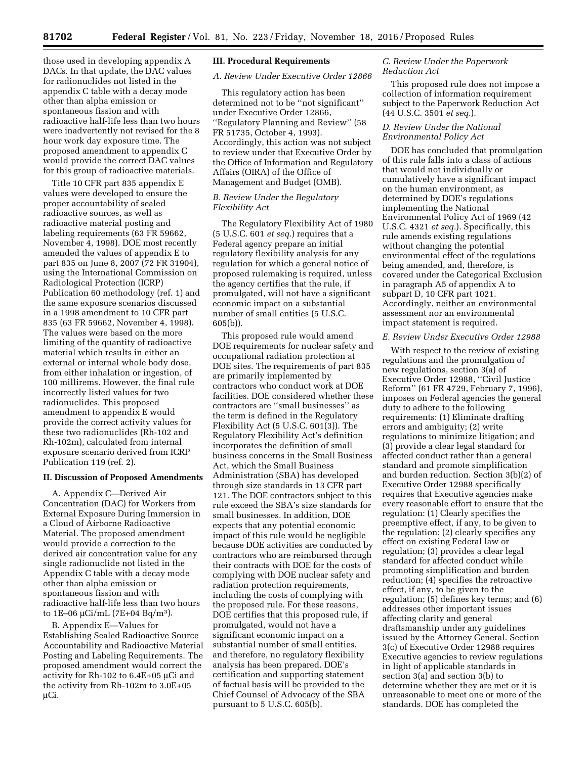those used in developing appendix A DACs. In that update, the DAC values for radionuclides not listed in the appendix C table with a decay mode other than alpha emission or spontaneous fission and with radioactive half-life less than two hours were inadvertently not revised for the 8 hour work day exposure time. The proposed amendment to appendix C would provide the correct DAC values for this group of radioactive materials.

Title 10 CFR part 835 appendix E values were developed to ensure the proper accountability of sealed radioactive sources, as well as radioactive material posting and labeling requirements (63 FR 59662, November 4, 1998). DOE most recently amended the values of appendix E to part 835 on June 8, 2007 (72 FR 31904), using the International Commission on Radiological Protection (ICRP) Publication 60 methodology (ref. 1) and the same exposure scenarios discussed in a 1998 amendment to 10 CFR part 835 (63 FR 59662, November 4, 1998). The values were based on the more limiting of the quantity of radioactive material which results in either an external or internal whole body dose, from either inhalation or ingestion, of 100 millirems. However, the final rule incorrectly listed values for two radionuclides. This proposed amendment to appendix E would provide the correct activity values for these two radionuclides (Rh-102 and Rh-102m), calculated from internal exposure scenario derived from ICRP Publication 119 (ref. 2).

#### **II. Discussion of Proposed Amendments**

A. Appendix C—Derived Air Concentration (DAC) for Workers from External Exposure During Immersion in a Cloud of Airborne Radioactive Material. The proposed amendment would provide a correction to the derived air concentration value for any single radionuclide not listed in the Appendix C table with a decay mode other than alpha emission or spontaneous fission and with radioactive half-life less than two hours to  $1E-06 \mu\text{Ci/mL}$  (7E+04 Bq/m<sup>3</sup>).

B. Appendix E—Values for Establishing Sealed Radioactive Source Accountability and Radioactive Material Posting and Labeling Requirements. The proposed amendment would correct the activity for Rh-102 to  $6.4E+05$  µCi and the activity from Rh-102m to 3.0E+05 µCi.

#### **III. Procedural Requirements**

#### *A. Review Under Executive Order 12866*

This regulatory action has been determined not to be ''not significant'' under Executive Order 12866, ''Regulatory Planning and Review'' (58 FR 51735, October 4, 1993). Accordingly, this action was not subject to review under that Executive Order by the Office of Information and Regulatory Affairs (OIRA) of the Office of Management and Budget (OMB).

## *B. Review Under the Regulatory Flexibility Act*

The Regulatory Flexibility Act of 1980 (5 U.S.C. 601 *et seq.*) requires that a Federal agency prepare an initial regulatory flexibility analysis for any regulation for which a general notice of proposed rulemaking is required, unless the agency certifies that the rule, if promulgated, will not have a significant economic impact on a substantial number of small entities (5 U.S.C. 605(b)).

This proposed rule would amend DOE requirements for nuclear safety and occupational radiation protection at DOE sites. The requirements of part 835 are primarily implemented by contractors who conduct work at DOE facilities. DOE considered whether these contractors are ''small businesses'' as the term is defined in the Regulatory Flexibility Act (5 U.S.C. 601(3)). The Regulatory Flexibility Act's definition incorporates the definition of small business concerns in the Small Business Act, which the Small Business Administration (SBA) has developed through size standards in 13 CFR part 121. The DOE contractors subject to this rule exceed the SBA's size standards for small businesses. In addition, DOE expects that any potential economic impact of this rule would be negligible because DOE activities are conducted by contractors who are reimbursed through their contracts with DOE for the costs of complying with DOE nuclear safety and radiation protection requirements, including the costs of complying with the proposed rule. For these reasons, DOE certifies that this proposed rule, if promulgated, would not have a significant economic impact on a substantial number of small entities, and therefore, no regulatory flexibility analysis has been prepared. DOE's certification and supporting statement of factual basis will be provided to the Chief Counsel of Advocacy of the SBA pursuant to 5 U.S.C. 605(b).

## *C. Review Under the Paperwork Reduction Act*

This proposed rule does not impose a collection of information requirement subject to the Paperwork Reduction Act (44 U.S.C. 3501 *et seq.*).

## *D. Review Under the National Environmental Policy Act*

DOE has concluded that promulgation of this rule falls into a class of actions that would not individually or cumulatively have a significant impact on the human environment, as determined by DOE's regulations implementing the National Environmental Policy Act of 1969 (42 U.S.C. 4321 *et seq.*). Specifically, this rule amends existing regulations without changing the potential environmental effect of the regulations being amended, and, therefore, is covered under the Categorical Exclusion in paragraph A5 of appendix A to subpart D, 10 CFR part 1021. Accordingly, neither an environmental assessment nor an environmental impact statement is required.

#### *E. Review Under Executive Order 12988*

With respect to the review of existing regulations and the promulgation of new regulations, section 3(a) of Executive Order 12988, ''Civil Justice Reform'' (61 FR 4729, February 7, 1996), imposes on Federal agencies the general duty to adhere to the following requirements: (1) Eliminate drafting errors and ambiguity; (2) write regulations to minimize litigation; and (3) provide a clear legal standard for affected conduct rather than a general standard and promote simplification and burden reduction. Section 3(b)(2) of Executive Order 12988 specifically requires that Executive agencies make every reasonable effort to ensure that the regulation: (1) Clearly specifies the preemptive effect, if any, to be given to the regulation; (2) clearly specifies any effect on existing Federal law or regulation; (3) provides a clear legal standard for affected conduct while promoting simplification and burden reduction; (4) specifies the retroactive effect, if any, to be given to the regulation; (5) defines key terms; and (6) addresses other important issues affecting clarity and general draftsmanship under any guidelines issued by the Attorney General. Section 3(c) of Executive Order 12988 requires Executive agencies to review regulations in light of applicable standards in section 3(a) and section 3(b) to determine whether they are met or it is unreasonable to meet one or more of the standards. DOE has completed the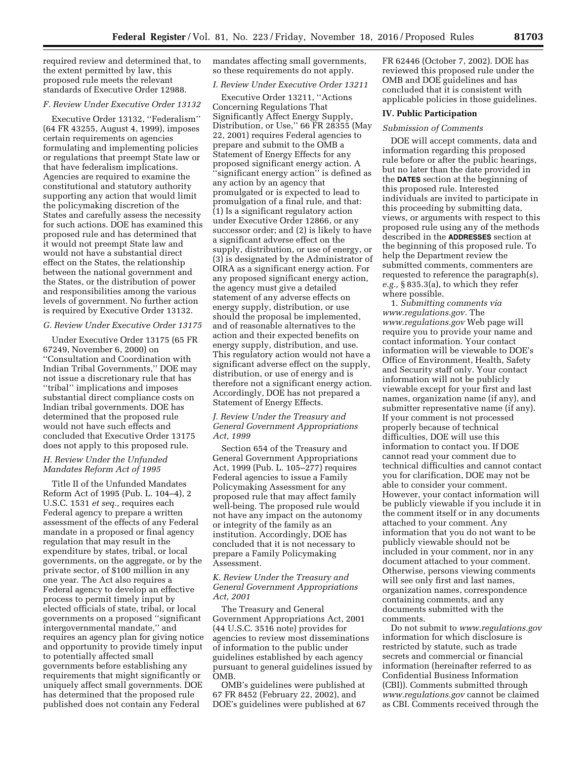required review and determined that, to the extent permitted by law, this proposed rule meets the relevant standards of Executive Order 12988.

## *F. Review Under Executive Order 13132*

Executive Order 13132, ''Federalism'' (64 FR 43255, August 4, 1999), imposes certain requirements on agencies formulating and implementing policies or regulations that preempt State law or that have federalism implications. Agencies are required to examine the constitutional and statutory authority supporting any action that would limit the policymaking discretion of the States and carefully assess the necessity for such actions. DOE has examined this proposed rule and has determined that it would not preempt State law and would not have a substantial direct effect on the States, the relationship between the national government and the States, or the distribution of power and responsibilities among the various levels of government. No further action is required by Executive Order 13132.

## *G. Review Under Executive Order 13175*

Under Executive Order 13175 (65 FR 67249, November 6, 2000) on ''Consultation and Coordination with Indian Tribal Governments,'' DOE may not issue a discretionary rule that has ''tribal'' implications and imposes substantial direct compliance costs on Indian tribal governments. DOE has determined that the proposed rule would not have such effects and concluded that Executive Order 13175 does not apply to this proposed rule.

## *H. Review Under the Unfunded Mandates Reform Act of 1995*

Title II of the Unfunded Mandates Reform Act of 1995 (Pub. L. 104–4), 2 U.S.C. 1531 *et seq.,* requires each Federal agency to prepare a written assessment of the effects of any Federal mandate in a proposed or final agency regulation that may result in the expenditure by states, tribal, or local governments, on the aggregate, or by the private sector, of \$100 million in any one year. The Act also requires a Federal agency to develop an effective process to permit timely input by elected officials of state, tribal, or local governments on a proposed ''significant intergovernmental mandate,'' and requires an agency plan for giving notice and opportunity to provide timely input to potentially affected small governments before establishing any requirements that might significantly or uniquely affect small governments. DOE has determined that the proposed rule published does not contain any Federal

mandates affecting small governments, so these requirements do not apply.

## *I. Review Under Executive Order 13211*

Executive Order 13211, ''Actions Concerning Regulations That Significantly Affect Energy Supply, Distribution, or Use,'' 66 FR 28355 (May 22, 2001) requires Federal agencies to prepare and submit to the OMB a Statement of Energy Effects for any proposed significant energy action. A ''significant energy action'' is defined as any action by an agency that promulgated or is expected to lead to promulgation of a final rule, and that: (1) Is a significant regulatory action under Executive Order 12866, or any successor order; and (2) is likely to have a significant adverse effect on the supply, distribution, or use of energy, or (3) is designated by the Administrator of OIRA as a significant energy action. For any proposed significant energy action, the agency must give a detailed statement of any adverse effects on energy supply, distribution, or use should the proposal be implemented, and of reasonable alternatives to the action and their expected benefits on energy supply, distribution, and use. This regulatory action would not have a significant adverse effect on the supply, distribution, or use of energy and is therefore not a significant energy action. Accordingly, DOE has not prepared a Statement of Energy Effects.

## *J. Review Under the Treasury and General Government Appropriations Act, 1999*

Section 654 of the Treasury and General Government Appropriations Act, 1999 (Pub. L. 105–277) requires Federal agencies to issue a Family Policymaking Assessment for any proposed rule that may affect family well-being. The proposed rule would not have any impact on the autonomy or integrity of the family as an institution. Accordingly, DOE has concluded that it is not necessary to prepare a Family Policymaking Assessment.

## *K. Review Under the Treasury and General Government Appropriations Act, 2001*

The Treasury and General Government Appropriations Act, 2001 (44 U.S.C. 3516 note) provides for agencies to review most disseminations of information to the public under guidelines established by each agency pursuant to general guidelines issued by OMB.

OMB's guidelines were published at 67 FR 8452 (February 22, 2002), and DOE's guidelines were published at 67 FR 62446 (October 7, 2002). DOE has reviewed this proposed rule under the OMB and DOE guidelines and has concluded that it is consistent with applicable policies in those guidelines.

#### **IV. Public Participation**

#### *Submission of Comments*

DOE will accept comments, data and information regarding this proposed rule before or after the public hearings, but no later than the date provided in the **DATES** section at the beginning of this proposed rule. Interested individuals are invited to participate in this proceeding by submitting data, views, or arguments with respect to this proposed rule using any of the methods described in the **ADDRESSES** section at the beginning of this proposed rule. To help the Department review the submitted comments, commenters are requested to reference the paragraph(s), *e.g.,* § 835.3(a), to which they refer where possible.

1. *Submitting comments via [www.regulations.gov.](http://www.regulations.gov)* The *[www.regulations.gov](http://www.regulations.gov)* Web page will require you to provide your name and contact information. Your contact information will be viewable to DOE's Office of Environment, Health, Safety and Security staff only. Your contact information will not be publicly viewable except for your first and last names, organization name (if any), and submitter representative name (if any). If your comment is not processed properly because of technical difficulties, DOE will use this information to contact you. If DOE cannot read your comment due to technical difficulties and cannot contact you for clarification, DOE may not be able to consider your comment. However, your contact information will be publicly viewable if you include it in the comment itself or in any documents attached to your comment. Any information that you do not want to be publicly viewable should not be included in your comment, nor in any document attached to your comment. Otherwise, persons viewing comments will see only first and last names, organization names, correspondence containing comments, and any documents submitted with the comments.

Do not submit to *[www.regulations.gov](http://www.regulations.gov)*  information for which disclosure is restricted by statute, such as trade secrets and commercial or financial information (hereinafter referred to as Confidential Business Information (CBI)). Comments submitted through *[www.regulations.gov](http://www.regulations.gov)* cannot be claimed as CBI. Comments received through the